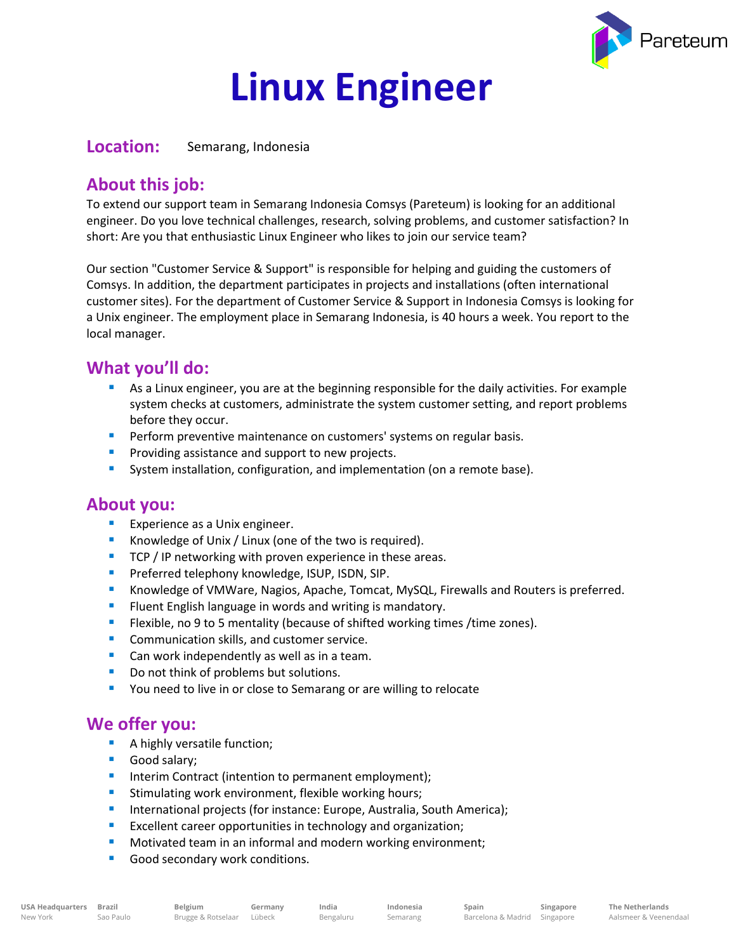

# **Linux Engineer**

**Location:** Semarang, Indonesia

## **About this job:**

To extend our support team in Semarang Indonesia Comsys (Pareteum) is looking for an additional engineer. Do you love technical challenges, research, solving problems, and customer satisfaction? In short: Are you that enthusiastic Linux Engineer who likes to join our service team?

Our section "Customer Service & Support" is responsible for helping and guiding the customers of Comsys. In addition, the department participates in projects and installations (often international customer sites). For the department of Customer Service & Support in Indonesia Comsys is looking for a Unix engineer. The employment place in Semarang Indonesia, is 40 hours a week. You report to the local manager.

### **What you'll do:**

- As a Linux engineer, you are at the beginning responsible for the daily activities. For example system checks at customers, administrate the system customer setting, and report problems before they occur.
- **Perform preventive maintenance on customers' systems on regular basis.**
- **•** Providing assistance and support to new projects.
- System installation, configuration, and implementation (on a remote base).

#### **About you:**

- **Experience as a Unix engineer.**
- Knowledge of Unix / Linux (one of the two is required).
- TCP / IP networking with proven experience in these areas.
- **Preferred telephony knowledge, ISUP, ISDN, SIP.**
- **E** Knowledge of VMWare, Nagios, Apache, Tomcat, MySQL, Firewalls and Routers is preferred.
- **EXECT** Fluent English language in words and writing is mandatory.
- **E** Flexible, no 9 to 5 mentality (because of shifted working times /time zones).
- Communication skills, and customer service.
- Can work independently as well as in a team.
- Do not think of problems but solutions.
- You need to live in or close to Semarang or are willing to relocate

#### **We offer you:**

- A highly versatile function;
- Good salary;
- Interim Contract (intention to permanent employment);
- **EXTERGHTM** Stimulating work environment, flexible working hours;
- **E** International projects (for instance: Europe, Australia, South America);
- Excellent career opportunities in technology and organization;
- Motivated team in an informal and modern working environment;
- Good secondary work conditions.